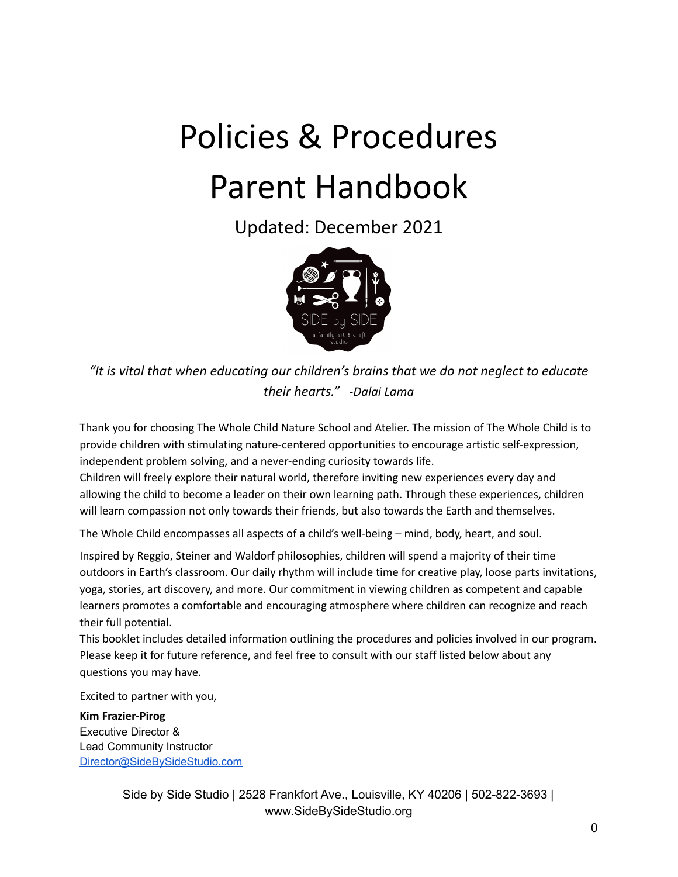# Policies & Procedures Parent Handbook

Updated: December 2021



*"It is vital that when educating our children's brains that we do not neglect to educate their hearts." -Dalai Lama*

Thank you for choosing The Whole Child Nature School and Atelier. The mission of The Whole Child is to provide children with stimulating nature-centered opportunities to encourage artistic self-expression, independent problem solving, and a never-ending curiosity towards life.

Children will freely explore their natural world, therefore inviting new experiences every day and allowing the child to become a leader on their own learning path. Through these experiences, children will learn compassion not only towards their friends, but also towards the Earth and themselves.

The Whole Child encompasses all aspects of a child's well-being – mind, body, heart, and soul.

Inspired by Reggio, Steiner and Waldorf philosophies, children will spend a majority of their time outdoors in Earth's classroom. Our daily rhythm will include time for creative play, loose parts invitations, yoga, stories, art discovery, and more. Our commitment in viewing children as competent and capable learners promotes a comfortable and encouraging atmosphere where children can recognize and reach their full potential.

This booklet includes detailed information outlining the procedures and policies involved in our program. Please keep it for future reference, and feel free to consult with our staff listed below about any questions you may have.

Excited to partner with you,

**Kim Frazier-Pirog** Executive Director & Lead Community Instructor [Director@SideBySideStudio.com](mailto:Director@SideBySideStudio.com)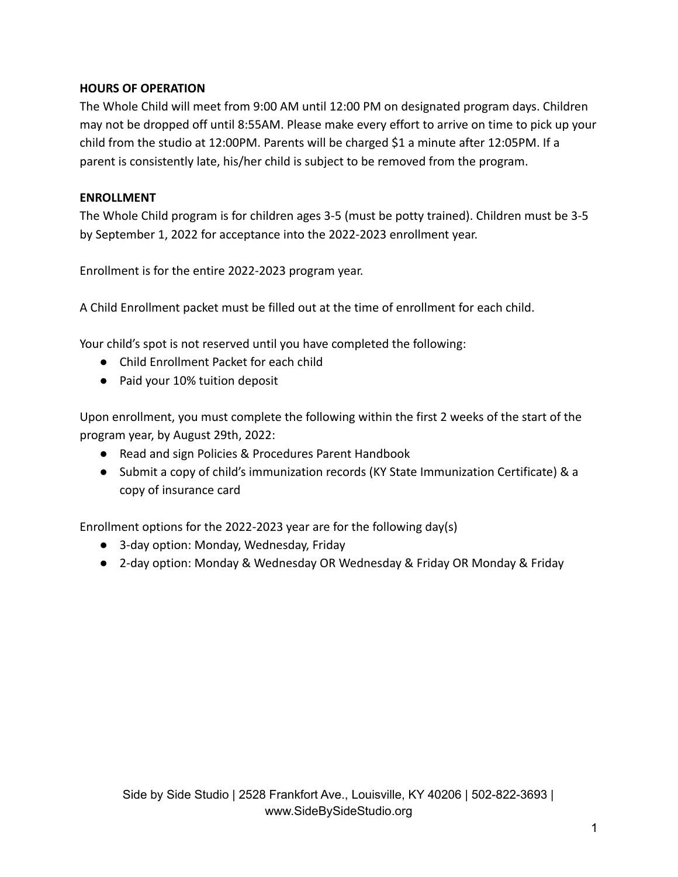# **HOURS OF OPERATION**

The Whole Child will meet from 9:00 AM until 12:00 PM on designated program days. Children may not be dropped off until 8:55AM. Please make every effort to arrive on time to pick up your child from the studio at 12:00PM. Parents will be charged \$1 a minute after 12:05PM. If a parent is consistently late, his/her child is subject to be removed from the program.

### **ENROLLMENT**

The Whole Child program is for children ages 3-5 (must be potty trained). Children must be 3-5 by September 1, 2022 for acceptance into the 2022-2023 enrollment year.

Enrollment is for the entire 2022-2023 program year.

A Child Enrollment packet must be filled out at the time of enrollment for each child.

Your child's spot is not reserved until you have completed the following:

- Child Enrollment Packet for each child
- Paid your 10% tuition deposit

Upon enrollment, you must complete the following within the first 2 weeks of the start of the program year, by August 29th, 2022:

- Read and sign Policies & Procedures Parent Handbook
- Submit a copy of child's immunization records (KY State Immunization Certificate) & a copy of insurance card

Enrollment options for the 2022-2023 year are for the following day(s)

- 3-day option: Monday, Wednesday, Friday
- 2-day option: Monday & Wednesday OR Wednesday & Friday OR Monday & Friday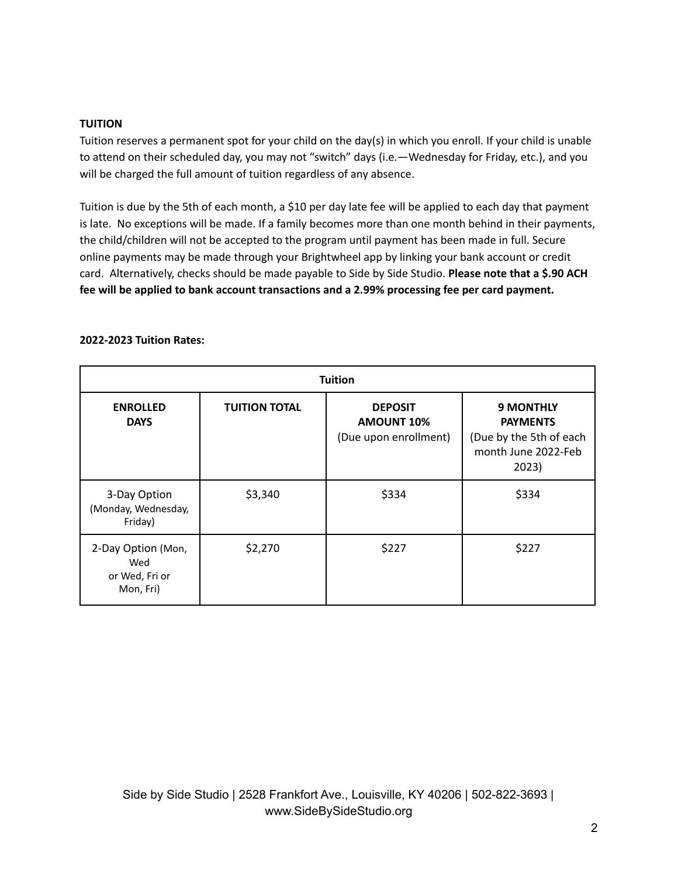#### **TUITION**

Tuition reserves a permanent spot for your child on the day(s) in which you enroll. If your child is unable to attend on their scheduled day, you may not "switch" days (i.e.—Wednesday for Friday, etc.), and you will be charged the full amount of tuition regardless of any absence.

Tuition is due by the 5th of each month, a \$10 per day late fee will be applied to each day that payment is late. No exceptions will be made. If a family becomes more than one month behind in their payments, the child/children will not be accepted to the program until payment has been made in full. Secure online payments may be made through your Brightwheel app by linking your bank account or credit card. Alternatively, checks should be made payable to Side by Side Studio. **Please note that a \$.90 ACH fee will be applied to bank account transactions and a 2.99% processing fee per card payment.**

| <b>Tuition</b>                                           |                      |                                                              |                                                                                                |  |  |  |  |  |
|----------------------------------------------------------|----------------------|--------------------------------------------------------------|------------------------------------------------------------------------------------------------|--|--|--|--|--|
| <b>ENROLLED</b><br><b>DAYS</b>                           | <b>TUITION TOTAL</b> | <b>DEPOSIT</b><br><b>AMOUNT 10%</b><br>(Due upon enrollment) | <b>9 MONTHLY</b><br><b>PAYMENTS</b><br>(Due by the 5th of each<br>month June 2022-Feb<br>2023) |  |  |  |  |  |
| 3-Day Option<br>(Monday, Wednesday,<br>Friday)           | \$3,340              | \$334                                                        | \$334                                                                                          |  |  |  |  |  |
| 2-Day Option (Mon,<br>Wed<br>or Wed, Fri or<br>Mon, Fri) | \$2,270              | \$227                                                        | \$227                                                                                          |  |  |  |  |  |

#### **2022-2023 Tuition Rates:**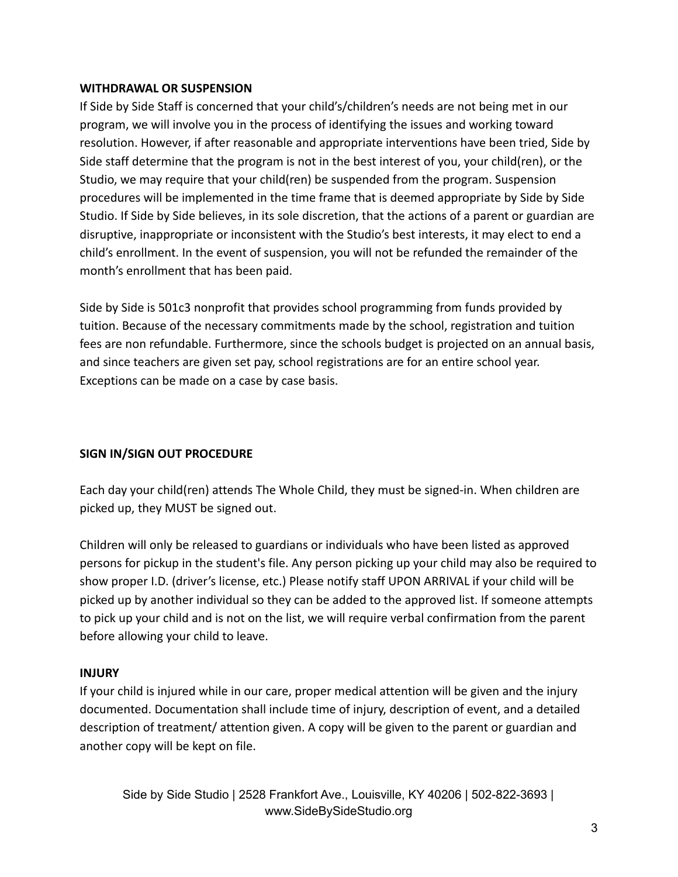#### **WITHDRAWAL OR SUSPENSION**

If Side by Side Staff is concerned that your child's/children's needs are not being met in our program, we will involve you in the process of identifying the issues and working toward resolution. However, if after reasonable and appropriate interventions have been tried, Side by Side staff determine that the program is not in the best interest of you, your child(ren), or the Studio, we may require that your child(ren) be suspended from the program. Suspension procedures will be implemented in the time frame that is deemed appropriate by Side by Side Studio. If Side by Side believes, in its sole discretion, that the actions of a parent or guardian are disruptive, inappropriate or inconsistent with the Studio's best interests, it may elect to end a child's enrollment. In the event of suspension, you will not be refunded the remainder of the month's enrollment that has been paid.

Side by Side is 501c3 nonprofit that provides school programming from funds provided by tuition. Because of the necessary commitments made by the school, registration and tuition fees are non refundable. Furthermore, since the schools budget is projected on an annual basis, and since teachers are given set pay, school registrations are for an entire school year. Exceptions can be made on a case by case basis.

### **SIGN IN/SIGN OUT PROCEDURE**

Each day your child(ren) attends The Whole Child, they must be signed-in. When children are picked up, they MUST be signed out.

Children will only be released to guardians or individuals who have been listed as approved persons for pickup in the student's file. Any person picking up your child may also be required to show proper I.D. (driver's license, etc.) Please notify staff UPON ARRIVAL if your child will be picked up by another individual so they can be added to the approved list. If someone attempts to pick up your child and is not on the list, we will require verbal confirmation from the parent before allowing your child to leave.

### **INJURY**

If your child is injured while in our care, proper medical attention will be given and the injury documented. Documentation shall include time of injury, description of event, and a detailed description of treatment/ attention given. A copy will be given to the parent or guardian and another copy will be kept on file.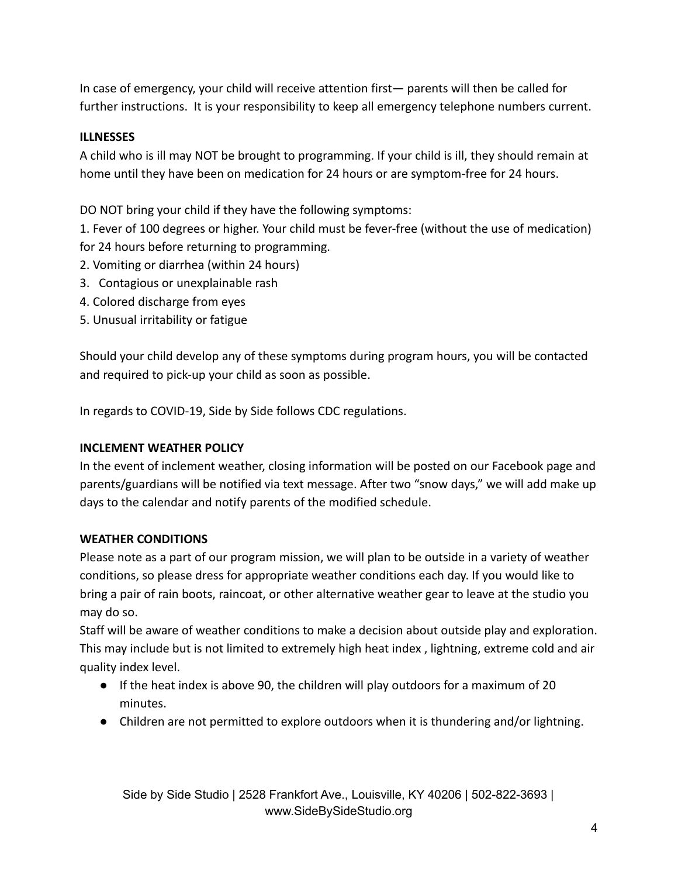In case of emergency, your child will receive attention first— parents will then be called for further instructions. It is your responsibility to keep all emergency telephone numbers current.

# **ILLNESSES**

A child who is ill may NOT be brought to programming. If your child is ill, they should remain at home until they have been on medication for 24 hours or are symptom-free for 24 hours.

DO NOT bring your child if they have the following symptoms:

1. Fever of 100 degrees or higher. Your child must be fever-free (without the use of medication) for 24 hours before returning to programming.

- 2. Vomiting or diarrhea (within 24 hours)
- 3. Contagious or unexplainable rash
- 4. Colored discharge from eyes
- 5. Unusual irritability or fatigue

Should your child develop any of these symptoms during program hours, you will be contacted and required to pick-up your child as soon as possible.

In regards to COVID-19, Side by Side follows CDC regulations.

### **INCLEMENT WEATHER POLICY**

In the event of inclement weather, closing information will be posted on our Facebook page and parents/guardians will be notified via text message. After two "snow days," we will add make up days to the calendar and notify parents of the modified schedule.

### **WEATHER CONDITIONS**

Please note as a part of our program mission, we will plan to be outside in a variety of weather conditions, so please dress for appropriate weather conditions each day. If you would like to bring a pair of rain boots, raincoat, or other alternative weather gear to leave at the studio you may do so.

Staff will be aware of weather conditions to make a decision about outside play and exploration. This may include but is not limited to extremely high heat index , lightning, extreme cold and air quality index level.

- If the heat index is above 90, the children will play outdoors for a maximum of 20 minutes.
- Children are not permitted to explore outdoors when it is thundering and/or lightning.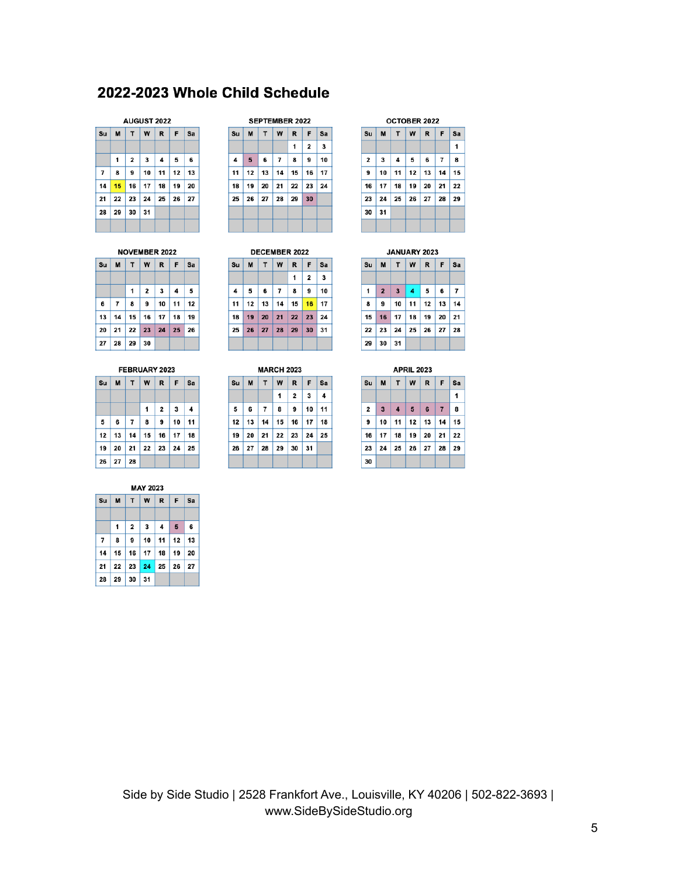# 2022-2023 Whole Child Schedule

#### AUGUST 2022

| Su             | M  | T                       | W                                         | $\mathbf R$     | F  | Sa |
|----------------|----|-------------------------|-------------------------------------------|-----------------|----|----|
|                |    |                         |                                           |                 |    |    |
|                | 1  | $\overline{\mathbf{2}}$ | 3                                         | 4               | 5  | 6  |
| $\overline{7}$ | 8  | 9                       | 10 <sup>1</sup>                           | 11 <sup>1</sup> | 12 | 13 |
| 14             |    |                         | $15$ 16 17 18                             |                 | 19 | 20 |
| 21             |    |                         | $22 \mid 23 \mid 24 \mid 25 \mid 26 \mid$ |                 |    | 27 |
| 28             | 29 | 30                      | 31                                        |                 |    |    |
|                |    |                         |                                           |                 |    |    |

#### NOVEMBER 2022

| SulM   T   W   R   F   Sa |                                    |   |                          |  |  |
|---------------------------|------------------------------------|---|--------------------------|--|--|
|                           |                                    |   |                          |  |  |
|                           |                                    | 1 | $2 \mid 3 \mid 4 \mid 5$ |  |  |
|                           | $6$ $7$ $8$ $9$ $10$ $11$ $12$     |   |                          |  |  |
|                           | $13$   14   15   16   17   18   19 |   |                          |  |  |
|                           | 20 21 22 23 24 25 26               |   |                          |  |  |
| $27$ 28 29 30             |                                    |   |                          |  |  |

#### FEBRUARY 2023

|          |       | Su  M   T   W   R   F   Sa |             |                                       |
|----------|-------|----------------------------|-------------|---------------------------------------|
|          |       |                            |             |                                       |
|          |       | 1                          | $2 \mid 3$  | $\begin{array}{c} \hline \end{array}$ |
| 5        | 6 7 8 |                            | 9   10   11 |                                       |
|          |       | 12 13 14 15 16 17 18       |             |                                       |
|          |       | 19 20 21 22 23 24 25       |             |                                       |
| 26 27 28 |       |                            |             |                                       |

#### **MAY 2023**

| Su             |   | M   T   W   R   F   Sa |           |   |   |
|----------------|---|------------------------|-----------|---|---|
|                |   |                        |           |   |   |
|                | 1 | $2 \mid 3$             | $\vert$ 4 | 5 | 6 |
| $\overline{7}$ | 8 | 9 10 11 12 13          |           |   |   |
|                |   | 14 15 16 17 18 19 20   |           |   |   |
|                |   | 21 22 23 24 25 26 27   |           |   |   |
| 28 29 30       |   | 31                     |           |   |   |

| <b>SEPTEMBER 2022</b> |    |                                  |                |    |                         |    |  |  |  |  |
|-----------------------|----|----------------------------------|----------------|----|-------------------------|----|--|--|--|--|
| Su                    | M  | W<br>$\mathbf R$<br>F<br>T<br>Sa |                |    |                         |    |  |  |  |  |
|                       |    |                                  |                | 1  | $\overline{\mathbf{2}}$ | 3  |  |  |  |  |
| 4                     | 5  | 6                                | $\overline{7}$ | 8  | 9                       | 10 |  |  |  |  |
| 11                    | 12 | 13                               | 14             | 15 | 16                      | 17 |  |  |  |  |
| 18                    | 19 | 20                               | 21<br>ı        | 22 | 23                      | 24 |  |  |  |  |
| 25                    | 26 | 27<br>ı                          | 28             | 29 | 30                      |    |  |  |  |  |
|                       |    |                                  |                |    |                         |    |  |  |  |  |
|                       |    |                                  |                |    |                         |    |  |  |  |  |

| <b>DECEMBER 2022</b> |                 |    |                |              |                         |    |  |
|----------------------|-----------------|----|----------------|--------------|-------------------------|----|--|
| Su                   | M               | T  | W              | R            | F                       | Sa |  |
|                      |                 |    |                | 1            | $\overline{\mathbf{2}}$ | 3  |  |
| 4                    | 5               | 6  | $\overline{7}$ | 8            | 9                       | 10 |  |
| 11                   | 12              | 13 | 14             | 15           | 16                      | 17 |  |
| 18                   | 19              | 20 | 21             | $22 \mid 23$ |                         | 24 |  |
| 25                   | 26 <sup>1</sup> |    | 27   28   29   |              | 30                      | 31 |  |
|                      |                 |    |                |              |                         |    |  |

|    | <b>MARCH 2023</b>           |    |                |                 |                         |    |    |  |
|----|-----------------------------|----|----------------|-----------------|-------------------------|----|----|--|
|    | R<br>W<br>F<br>т<br>Su<br>M |    |                |                 |                         |    |    |  |
|    |                             |    |                | 1               | $\overline{\mathbf{2}}$ | 3  | 4  |  |
| 5  |                             | 6  | $\overline{7}$ | 8               | 9                       | 10 | 11 |  |
| 12 |                             | 13 | 14             | 15 <sup>1</sup> | 16                      | 17 | 18 |  |
| 19 |                             | 20 | 21             | 22              | 23                      | 24 | 25 |  |
| 26 |                             | 27 | 28             | 29              | 30                      | 31 |    |  |
|    |                             |    |                |                 |                         |    |    |  |

| <b>OCTOBER 2022</b>     |    |    |    |             |                |    |  |  |
|-------------------------|----|----|----|-------------|----------------|----|--|--|
| Su                      | M  | T  | W  | $\mathbf R$ | F              | Sa |  |  |
|                         |    |    |    |             |                | 1  |  |  |
| $\overline{\mathbf{2}}$ | 3  | 4  | 5  | 6           | $\overline{7}$ | 8  |  |  |
| 9                       | 10 | 11 | 12 | 13          | 14             | 15 |  |  |
| 16                      | 17 | 18 | 19 | 20          | 21             | 22 |  |  |
| 23                      | 24 | 25 | 26 | 27          | 28             | 29 |  |  |
| 30                      | 31 |    |    |             |                |    |  |  |
|                         |    |    |    |             |                |    |  |  |

#### JANUARY 2023  $SUM$   $T$   $W$   $R$  $F$  $sa$  $\mathbf{1}$  $2$  $\overline{\mathbf{3}}$ 5  $\bf 6$  $\overline{7}$  $\overline{4}$  $\bf{8}$  $9$  $10$  11  $12$  13 14  $15$  $16$  $\overline{17}$  $18$  $19$ 20 21  $\overline{22}$ 23 24 25 26 27 28  $29 \mid 30 \mid 31$

|                         | <b>APRIL 2023</b>                 |    |                |    |                |    |  |  |
|-------------------------|-----------------------------------|----|----------------|----|----------------|----|--|--|
| Su                      | F<br>T<br>l W<br>$\mathbf R$<br>M |    |                |    |                |    |  |  |
|                         |                                   |    |                |    |                | 1  |  |  |
| $\overline{\mathbf{2}}$ | $\overline{\mathbf{3}}$           | 4  | 5 <sup>5</sup> | 6  | $\overline{7}$ | 8  |  |  |
| 9                       | 10                                |    | $11$   12      | 13 | 14             | 15 |  |  |
| 16                      | 17                                | 18 | 19             | 20 | 21             | 22 |  |  |
| 23                      | 24                                | 25 | 26             | 27 | 28             | 29 |  |  |
| 30                      |                                   |    |                |    |                |    |  |  |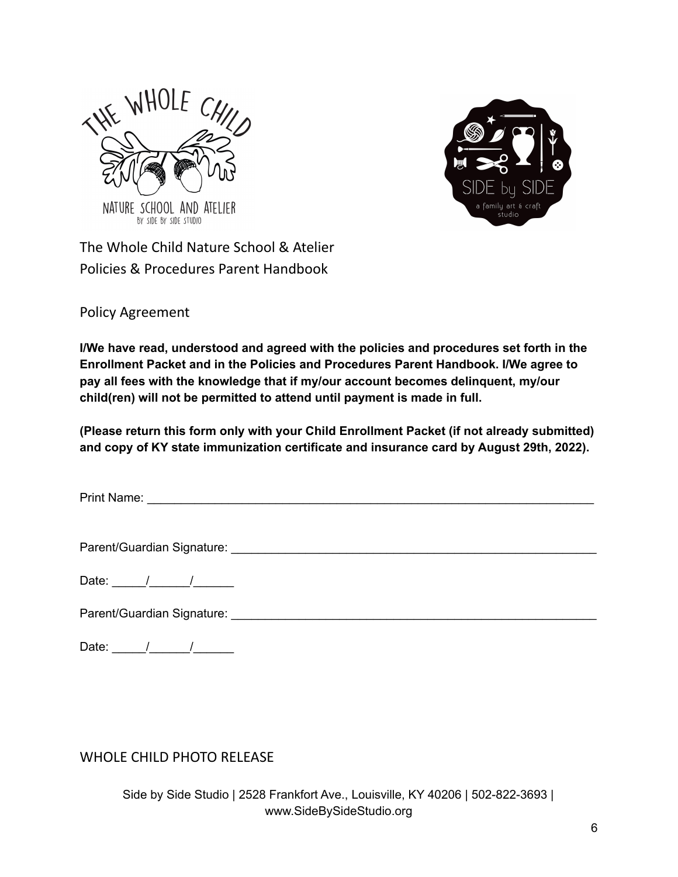



The Whole Child Nature School & Atelier Policies & Procedures Parent Handbook

Policy Agreement

**I/We have read, understood and agreed with the policies and procedures set forth in the Enrollment Packet and in the Policies and Procedures Parent Handbook. I/We agree to pay all fees with the knowledge that if my/our account becomes delinquent, my/our child(ren) will not be permitted to attend until payment is made in full.**

**(Please return this form only with your Child Enrollment Packet (if not already submitted) and copy of KY state immunization certificate and insurance card by August 29th, 2022).**

Print Name: \_\_\_\_\_\_\_\_\_\_\_\_\_\_\_\_\_\_\_\_\_\_\_\_\_\_\_\_\_\_\_\_\_\_\_\_\_\_\_\_\_\_\_\_\_\_\_\_\_\_\_\_\_\_\_\_\_\_\_\_\_\_\_\_\_\_

Parent/Guardian Signature: \_\_\_\_\_\_\_\_\_\_\_\_\_\_\_\_\_\_\_\_\_\_\_\_\_\_\_\_\_\_\_\_\_\_\_\_\_\_\_\_\_\_\_\_\_\_\_\_\_\_\_\_\_\_

Date:  $/$  /

Parent/Guardian Signature: \_\_\_\_\_\_\_\_\_\_\_\_\_\_\_\_\_\_\_\_\_\_\_\_\_\_\_\_\_\_\_\_\_\_\_\_\_\_\_\_\_\_\_\_\_\_\_\_\_\_\_\_\_\_

Date: \_\_\_\_\_/\_\_\_\_\_\_/\_\_\_\_\_\_

WHOLE CHILD PHOTO RELEASE